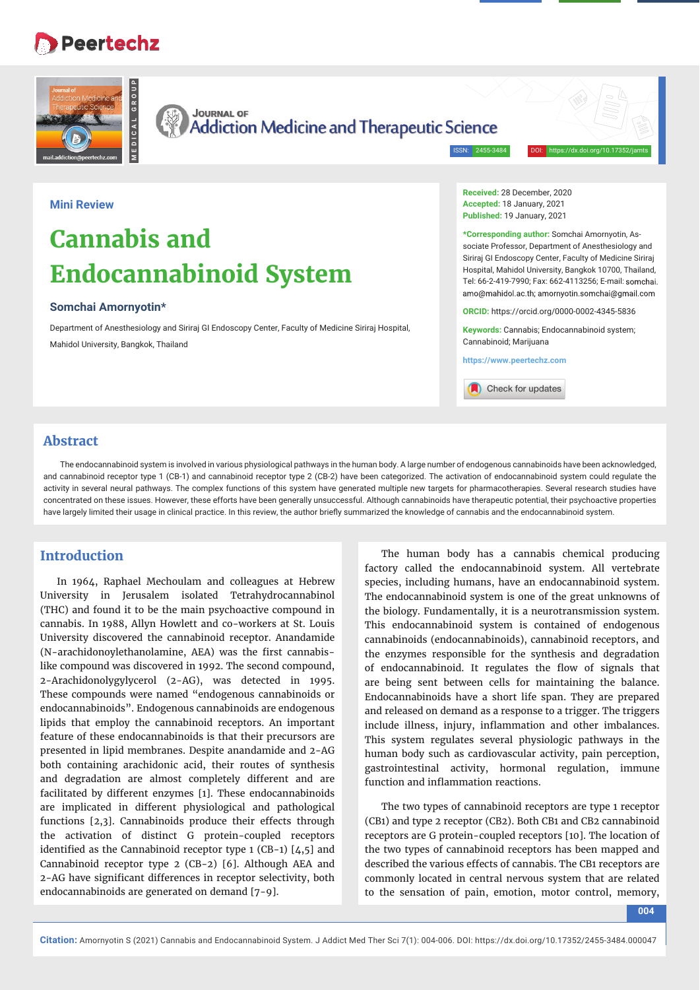## **Peertechz**



**JOURNAL OF Addiction Medicine and Therapeutic Science** 

ISSN: 2455-3484

## **Mini Review**

# **Cannabis and Endocannabinoid System**

### **Somchai Amornyotin\***

Department of Anesthesiology and Siriraj GI Endoscopy Center, Faculty of Medicine Siriraj Hospital, Mahidol University, Bangkok, Thailand

**Received:** 28 December, 2020 **Accepted:** 18 January, 2021 **Published:** 19 January, 2021

**\*Corresponding author:** Somchai Amornyotin, Associate Professor, Department of Anesthesiology and Siriraj GI Endoscopy Center, Faculty of Medicine Siriraj Hospital, Mahidol University, Bangkok 10700, Thailand, Tel: 66-2-419-7990; Fax: 662-4113256; E-mail: amo@mahidol.ac.th: amornyotin.somchai@gmail.com

**ORCID:** https://orcid.org/0000-0002-4345-5836

**Keywords:** Cannabis; Endocannabinoid system; Cannabinoid; Marijuana

**https://www.peertechz.com**



## **Abstract**

The endocannabinoid system is involved in various physiological pathways in the human body. A large number of endogenous cannabinoids have been acknowledged, and cannabinoid receptor type 1 (CB-1) and cannabinoid receptor type 2 (CB-2) have been categorized. The activation of endocannabinoid system could regulate the activity in several neural pathways. The complex functions of this system have generated multiple new targets for pharmacotherapies. Several research studies have concentrated on these issues. However, these efforts have been generally unsuccessful. Although cannabinoids have therapeutic potential, their psychoactive properties have largely limited their usage in clinical practice. In this review, the author briefly summarized the knowledge of cannabis and the endocannabinoid system.

## **Introduction**

In 1964, Raphael Mechoulam and colleagues at Hebrew University in Jerusalem isolated Tetrahydrocannabinol (THC) and found it to be the main psychoactive compound in cannabis. In 1988, Allyn Howlett and co-workers at St. Louis University discovered the cannabinoid receptor. Anandamide (N-arachidonoylethanolamine, AEA) was the first cannabislike compound was discovered in 1992. The second compound, 2-Arachidonolygylycerol (2-AG), was detected in 1995. These compounds were named "endogenous cannabinoids or endocannabinoids". Endogenous cannabinoids are endogenous lipids that employ the cannabinoid receptors. An important feature of these endocannabinoids is that their precursors are presented in lipid membranes. Despite anandamide and 2-AG both containing arachidonic acid, their routes of synthesis and degradation are almost completely different and are facilitated by different enzymes [1]. These endocannabinoids are implicated in different physiological and pathological functions [2,3]. Cannabinoids produce their effects through the activation of distinct G protein-coupled receptors identified as the Cannabinoid receptor type  $1$  (CB-1) [4,5] and Cannabinoid receptor type 2 (CB-2) [6]. Although AEA and 2-AG have significant differences in receptor selectivity, both endocannabinoids are generated on demand [7-9].

The human body has a cannabis chemical producing factory called the endocannabinoid system. All vertebrate species, including humans, have an endocannabinoid system. The endocannabinoid system is one of the great unknowns of the biology. Fundamentally, it is a neurotransmission system. This endocannabinoid system is contained of endogenous cannabinoids (endocannabinoids), cannabinoid receptors, and the enzymes responsible for the synthesis and degradation of endocannabinoid. It regulates the flow of signals that are being sent between cells for maintaining the balance. Endocannabinoids have a short life span. They are prepared and released on demand as a response to a trigger. The triggers include illness, injury, inflammation and other imbalances. This system regulates several physiologic pathways in the human body such as cardiovascular activity, pain perception, gastrointestinal activity, hormonal regulation, immune function and inflammation reactions.

The two types of cannabinoid receptors are type 1 receptor (CB1) and type 2 receptor (CB2). Both CB1 and CB2 cannabinoid receptors are G protein-coupled receptors [10]. The location of the two types of cannabinoid receptors has been mapped and described the various effects of cannabis. The CB1 receptors are commonly located in central nervous system that are related to the sensation of pain, emotion, motor control, memory,

**004**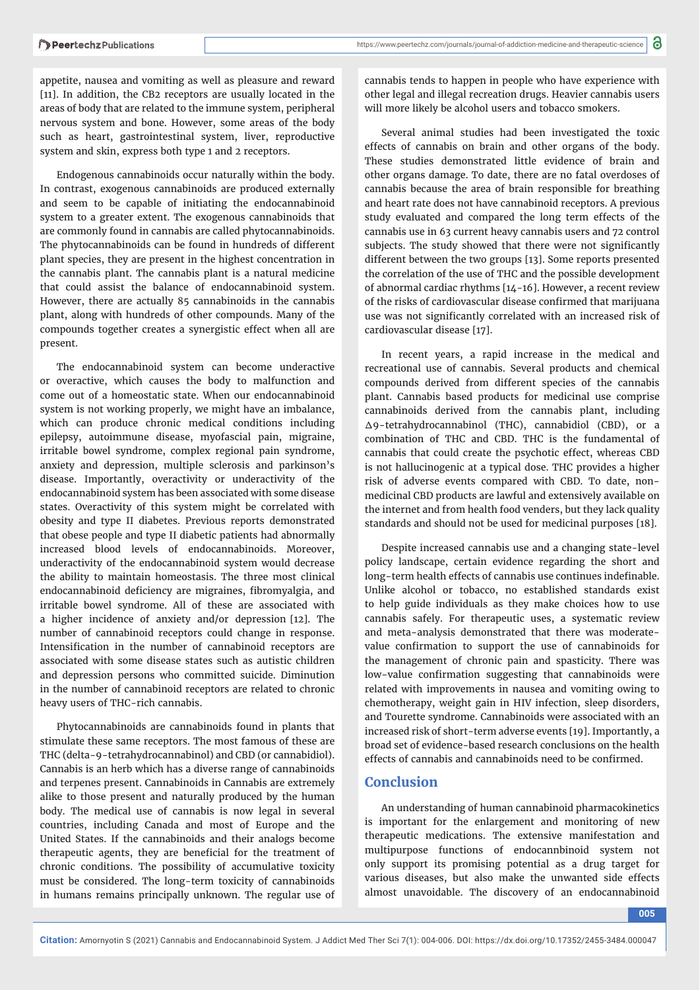https://www.peertechz.com/journals/journal-of-addiction-medicine-and-therapeutic-science

appetite, nausea and vomiting as well as pleasure and reward [11]. In addition, the CB2 receptors are usually located in the areas of body that are related to the immune system, peripheral nervous system and bone. However, some areas of the body such as heart, gastrointestinal system, liver, reproductive system and skin, express both type 1 and 2 receptors.

Endogenous cannabinoids occur naturally within the body. In contrast, exogenous cannabinoids are produced externally and seem to be capable of initiating the endocannabinoid system to a greater extent. The exogenous cannabinoids that are commonly found in cannabis are called phytocannabinoids. The phytocannabinoids can be found in hundreds of different plant species, they are present in the highest concentration in the cannabis plant. The cannabis plant is a natural medicine that could assist the balance of endocannabinoid system. However, there are actually 85 cannabinoids in the cannabis plant, along with hundreds of other compounds. Many of the compounds together creates a synergistic effect when all are present.

The endocannabinoid system can become underactive or overactive, which causes the body to malfunction and come out of a homeostatic state. When our endocannabinoid system is not working properly, we might have an imbalance, which can produce chronic medical conditions including epilepsy, autoimmune disease, myofascial pain, migraine, irritable bowel syndrome, complex regional pain syndrome, anxiety and depression, multiple sclerosis and parkinson's disease. Importantly, overactivity or underactivity of the endocannabinoid system has been associated with some disease states. Overactivity of this system might be correlated with obesity and type II diabetes. Previous reports demonstrated that obese people and type II diabetic patients had abnormally increased blood levels of endocannabinoids. Moreover, underactivity of the endocannabinoid system would decrease the ability to maintain homeostasis. The three most clinical endocannabinoid deficiency are migraines, fibromyalgia, and irritable bowel syndrome. All of these are associated with a higher incidence of anxiety and/or depression [12]. The number of cannabinoid receptors could change in response. Intensification in the number of cannabinoid receptors are associated with some disease states such as autistic children and depression persons who committed suicide. Diminution in the number of cannabinoid receptors are related to chronic heavy users of THC-rich cannabis.

Phytocannabinoids are cannabinoids found in plants that stimulate these same receptors. The most famous of these are THC (delta-9-tetrahydrocannabinol) and CBD (or cannabidiol). Cannabis is an herb which has a diverse range of cannabinoids and terpenes present. Cannabinoids in Cannabis are extremely alike to those present and naturally produced by the human body. The medical use of cannabis is now legal in several countries, including Canada and most of Europe and the United States. If the cannabinoids and their analogs become therapeutic agents, they are beneficial for the treatment of chronic conditions. The possibility of accumulative toxicity must be considered. The long-term toxicity of cannabinoids in humans remains principally unknown. The regular use of

cannabis tends to happen in people who have experience with other legal and illegal recreation drugs. Heavier cannabis users will more likely be alcohol users and tobacco smokers.

Several animal studies had been investigated the toxic effects of cannabis on brain and other organs of the body. These studies demonstrated little evidence of brain and other organs damage. To date, there are no fatal overdoses of cannabis because the area of brain responsible for breathing and heart rate does not have cannabinoid receptors. A previous study evaluated and compared the long term effects of the cannabis use in 63 current heavy cannabis users and 72 control subjects. The study showed that there were not significantly different between the two groups [13]. Some reports presented the correlation of the use of THC and the possible development of abnormal cardiac rhythms [14-16]. However, a recent review of the risks of cardiovascular disease confirmed that marijuana use was not significantly correlated with an increased risk of cardiovascular disease [17].

In recent years, a rapid increase in the medical and recreational use of cannabis. Several products and chemical compounds derived from different species of the cannabis plant. Cannabis based products for medicinal use comprise cannabinoids derived from the cannabis plant, including ∆9-tetrahydrocannabinol (THC), cannabidiol (CBD), or a combination of THC and CBD. THC is the fundamental of cannabis that could create the psychotic effect, whereas CBD is not hallucinogenic at a typical dose. THC provides a higher risk of adverse events compared with CBD. To date, nonmedicinal CBD products are lawful and extensively available on the internet and from health food venders, but they lack quality standards and should not be used for medicinal purposes [18].

Despite increased cannabis use and a changing state-level policy landscape, certain evidence regarding the short and long-term health effects of cannabis use continues indefinable. Unlike alcohol or tobacco, no established standards exist to help guide individuals as they make choices how to use cannabis safely. For therapeutic uses, a systematic review and meta-analysis demonstrated that there was moderatevalue confirmation to support the use of cannabinoids for the management of chronic pain and spasticity. There was low-value confirmation suggesting that cannabinoids were related with improvements in nausea and vomiting owing to chemotherapy, weight gain in HIV infection, sleep disorders, and Tourette syndrome. Cannabinoids were associated with an increased risk of short-term adverse events [19]. Importantly, a broad set of evidence-based research conclusions on the health effects of cannabis and cannabinoids need to be confirmed.

## **Conclusion**

An understanding of human cannabinoid pharmacokinetics is important for the enlargement and monitoring of new therapeutic medications. The extensive manifestation and multipurpose functions of endocannbinoid system not only support its promising potential as a drug target for various diseases, but also make the unwanted side effects almost unavoidable. The discovery of an endocannabinoid

**005**